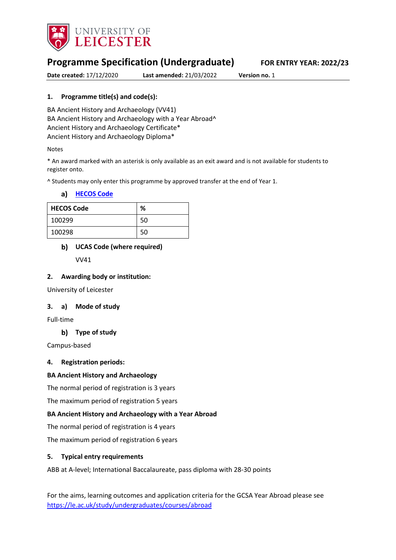

# **Programme Specification (Undergraduate) FOR ENTRY YEAR: 2022/23**

**Date created:** 17/12/2020 **Last amended:** 21/03/2022 **Version no.** 1

### **1. Programme title(s) and code(s):**

BA Ancient History and Archaeology (VV41) BA Ancient History and Archaeology with a Year Abroad^ Ancient History and Archaeology Certificate\* Ancient History and Archaeology Diploma\*

#### Notes

\* An award marked with an asterisk is only available as an exit award and is not available for students to register onto.

^ Students may only enter this programme by approved transfer at the end of Year 1.

| a) |  |  | <b>HECOS Code</b> |
|----|--|--|-------------------|
|    |  |  |                   |

| <b>HECOS Code</b> | %  |
|-------------------|----|
| 100299            | 50 |
| 100298            | 50 |

### **UCAS Code (where required)**

VV41

#### **2. Awarding body or institution:**

University of Leicester

#### **3. a) Mode of study**

Full-time

#### **Type of study**

Campus-based

#### **4. Registration periods:**

#### **BA Ancient History and Archaeology**

The normal period of registration is 3 years

The maximum period of registration 5 years

#### **BA Ancient History and Archaeology with a Year Abroad**

The normal period of registration is 4 years

The maximum period of registration 6 years

#### **5. Typical entry requirements**

ABB at A-level; International Baccalaureate, pass diploma with 28-30 points

For the aims, learning outcomes and application criteria for the GCSA Year Abroad please see <https://le.ac.uk/study/undergraduates/courses/abroad>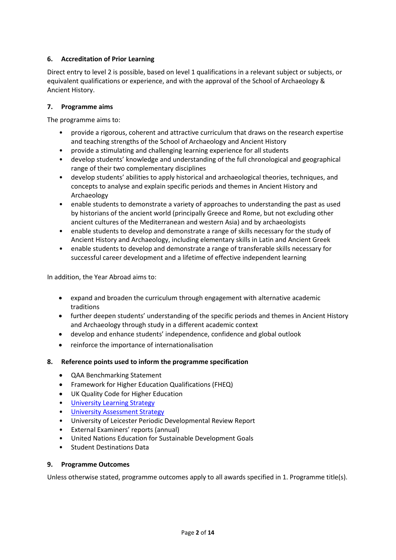### **6. Accreditation of Prior Learning**

Direct entry to level 2 is possible, based on level 1 qualifications in a relevant subject or subjects, or equivalent qualifications or experience, and with the approval of the School of Archaeology & Ancient History.

### **7. Programme aims**

The programme aims to:

- provide a rigorous, coherent and attractive curriculum that draws on the research expertise and teaching strengths of the School of Archaeology and Ancient History
- provide a stimulating and challenging learning experience for all students
- develop students' knowledge and understanding of the full chronological and geographical range of their two complementary disciplines
- develop students' abilities to apply historical and archaeological theories, techniques, and concepts to analyse and explain specific periods and themes in Ancient History and Archaeology
- enable students to demonstrate a variety of approaches to understanding the past as used by historians of the ancient world (principally Greece and Rome, but not excluding other ancient cultures of the Mediterranean and western Asia) and by archaeologists
- enable students to develop and demonstrate a range of skills necessary for the study of Ancient History and Archaeology, including elementary skills in Latin and Ancient Greek
- enable students to develop and demonstrate a range of transferable skills necessary for successful career development and a lifetime of effective independent learning

In addition, the Year Abroad aims to:

- expand and broaden the curriculum through engagement with alternative academic traditions
- further deepen students' understanding of the specific periods and themes in Ancient History and Archaeology through study in a different academic context
- develop and enhance students' independence, confidence and global outlook
- reinforce the importance of internationalisation
- **8. Reference points used to inform the programme specification**
	- QAA Benchmarking Statement
	- Framework for Higher Education Qualifications (FHEQ)
	- UK Quality Code for Higher Education
	- University Learnin[g Strategy](https://www2.le.ac.uk/offices/sas2/quality/learnteach)
	- [University Assessment Strategy](https://www2.le.ac.uk/offices/sas2/quality/learnteach)
	- University of Leicester Periodic Developmental Review Report
	- External Examiners' reports (annual)
	- United Nations Education for Sustainable Development Goals
	- Student Destinations Data

#### **9. Programme Outcomes**

Unless otherwise stated, programme outcomes apply to all awards specified in 1. Programme title(s).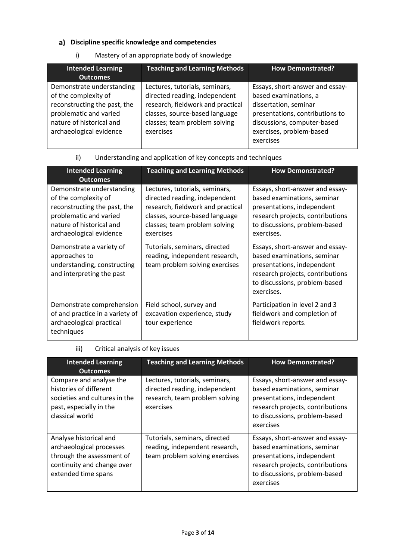### **Discipline specific knowledge and competencies**

i) Mastery of an appropriate body of knowledge

| <b>Intended Learning</b>     | <b>Teaching and Learning Methods</b> | <b>How Demonstrated?</b>        |
|------------------------------|--------------------------------------|---------------------------------|
| <b>Outcomes</b>              |                                      |                                 |
| Demonstrate understanding    | Lectures, tutorials, seminars,       | Essays, short-answer and essay- |
| of the complexity of         | directed reading, independent        | based examinations, a           |
| reconstructing the past, the | research, fieldwork and practical    | dissertation, seminar           |
| problematic and varied       | classes, source-based language       | presentations, contributions to |
| nature of historical and     | classes; team problem solving        | discussions, computer-based     |
| archaeological evidence      | exercises                            | exercises, problem-based        |
|                              |                                      | exercises                       |

### ii) Understanding and application of key concepts and techniques

| <b>Intended Learning</b><br><b>Outcomes</b>                                                                                                                        | <b>Teaching and Learning Methods</b>                                                                                                                                                 | <b>How Demonstrated?</b>                                                                                                                                                        |
|--------------------------------------------------------------------------------------------------------------------------------------------------------------------|--------------------------------------------------------------------------------------------------------------------------------------------------------------------------------------|---------------------------------------------------------------------------------------------------------------------------------------------------------------------------------|
| Demonstrate understanding<br>of the complexity of<br>reconstructing the past, the<br>problematic and varied<br>nature of historical and<br>archaeological evidence | Lectures, tutorials, seminars,<br>directed reading, independent<br>research, fieldwork and practical<br>classes, source-based language<br>classes; team problem solving<br>exercises | Essays, short-answer and essay-<br>based examinations, seminar<br>presentations, independent<br>research projects, contributions<br>to discussions, problem-based<br>exercises. |
| Demonstrate a variety of<br>approaches to<br>understanding, constructing<br>and interpreting the past                                                              | Tutorials, seminars, directed<br>reading, independent research,<br>team problem solving exercises                                                                                    | Essays, short-answer and essay-<br>based examinations, seminar<br>presentations, independent<br>research projects, contributions<br>to discussions, problem-based<br>exercises. |
| Demonstrate comprehension<br>of and practice in a variety of<br>archaeological practical<br>techniques                                                             | Field school, survey and<br>excavation experience, study<br>tour experience                                                                                                          | Participation in level 2 and 3<br>fieldwork and completion of<br>fieldwork reports.                                                                                             |

# iii) Critical analysis of key issues

| <b>Intended Learning</b><br><b>Outcomes</b>                                                                                          | <b>Teaching and Learning Methods</b>                                                                           | <b>How Demonstrated?</b>                                                                                                                                                       |
|--------------------------------------------------------------------------------------------------------------------------------------|----------------------------------------------------------------------------------------------------------------|--------------------------------------------------------------------------------------------------------------------------------------------------------------------------------|
| Compare and analyse the<br>histories of different<br>societies and cultures in the<br>past, especially in the<br>classical world     | Lectures, tutorials, seminars,<br>directed reading, independent<br>research, team problem solving<br>exercises | Essays, short-answer and essay-<br>based examinations, seminar<br>presentations, independent<br>research projects, contributions<br>to discussions, problem-based<br>exercises |
| Analyse historical and<br>archaeological processes<br>through the assessment of<br>continuity and change over<br>extended time spans | Tutorials, seminars, directed<br>reading, independent research,<br>team problem solving exercises              | Essays, short-answer and essay-<br>based examinations, seminar<br>presentations, independent<br>research projects, contributions<br>to discussions, problem-based<br>exercises |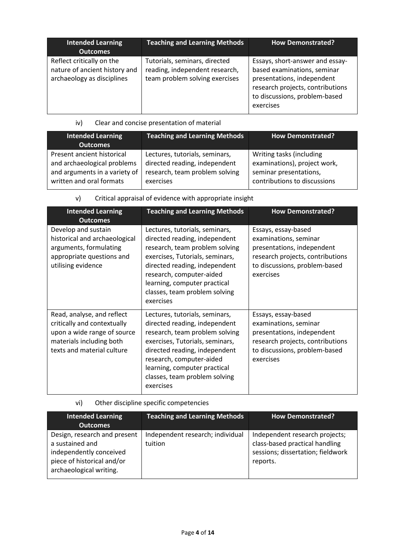| <b>Intended Learning</b><br><b>Outcomes</b>                                              | <b>Teaching and Learning Methods</b>                                                              | <b>How Demonstrated?</b>                                                                                                                                                       |
|------------------------------------------------------------------------------------------|---------------------------------------------------------------------------------------------------|--------------------------------------------------------------------------------------------------------------------------------------------------------------------------------|
| Reflect critically on the<br>nature of ancient history and<br>archaeology as disciplines | Tutorials, seminars, directed<br>reading, independent research,<br>team problem solving exercises | Essays, short-answer and essay-<br>based examinations, seminar<br>presentations, independent<br>research projects, contributions<br>to discussions, problem-based<br>exercises |

iv) Clear and concise presentation of material

| <b>Intended Learning</b><br><b>Outcomes</b> | Teaching and Learning Methods  | <b>How Demonstrated?</b>     |
|---------------------------------------------|--------------------------------|------------------------------|
| Present ancient historical                  | Lectures, tutorials, seminars, | Writing tasks (including     |
| and archaeological problems                 | directed reading, independent  | examinations), project work, |
| and arguments in a variety of               | research, team problem solving | seminar presentations,       |
| written and oral formats                    | exercises                      | contributions to discussions |

|  | Critical appraisal of evidence with appropriate insight |
|--|---------------------------------------------------------|
|--|---------------------------------------------------------|

| <b>Intended Learning</b><br><b>Outcomes</b>                                                                                                        | <b>Teaching and Learning Methods</b>                                                                                                                                                                                                                                            | <b>How Demonstrated?</b>                                                                                                                                     |
|----------------------------------------------------------------------------------------------------------------------------------------------------|---------------------------------------------------------------------------------------------------------------------------------------------------------------------------------------------------------------------------------------------------------------------------------|--------------------------------------------------------------------------------------------------------------------------------------------------------------|
| Develop and sustain<br>historical and archaeological<br>arguments, formulating<br>appropriate questions and<br>utilising evidence                  | Lectures, tutorials, seminars,<br>directed reading, independent<br>research, team problem solving<br>exercises, Tutorials, seminars,<br>directed reading, independent<br>research, computer-aided<br>learning, computer practical<br>classes, team problem solving<br>exercises | Essays, essay-based<br>examinations, seminar<br>presentations, independent<br>research projects, contributions<br>to discussions, problem-based<br>exercises |
| Read, analyse, and reflect<br>critically and contextually<br>upon a wide range of source<br>materials including both<br>texts and material culture | Lectures, tutorials, seminars,<br>directed reading, independent<br>research, team problem solving<br>exercises, Tutorials, seminars,<br>directed reading, independent<br>research, computer-aided<br>learning, computer practical<br>classes, team problem solving<br>exercises | Essays, essay-based<br>examinations, seminar<br>presentations, independent<br>research projects, contributions<br>to discussions, problem-based<br>exercises |

# vi) Other discipline specific competencies

| <b>Intended Learning</b><br><b>Outcomes</b>                                                                                         | <b>Teaching and Learning Methods</b>        | <b>How Demonstrated?</b>                                                                                          |
|-------------------------------------------------------------------------------------------------------------------------------------|---------------------------------------------|-------------------------------------------------------------------------------------------------------------------|
| Design, research and present<br>a sustained and<br>independently conceived<br>piece of historical and/or<br>archaeological writing. | Independent research; individual<br>tuition | Independent research projects;<br>class-based practical handling<br>sessions; dissertation; fieldwork<br>reports. |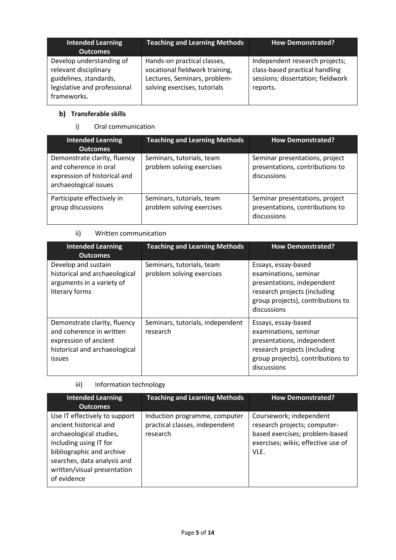| <b>Intended Learning</b><br><b>Outcomes</b>                                                                                | <b>Teaching and Learning Methods</b>                                                                                          | <b>How Demonstrated?</b>                                                                                          |
|----------------------------------------------------------------------------------------------------------------------------|-------------------------------------------------------------------------------------------------------------------------------|-------------------------------------------------------------------------------------------------------------------|
| Develop understanding of<br>relevant disciplinary<br>guidelines, standards,<br>legislative and professional<br>frameworks. | Hands-on practical classes,<br>vocational fieldwork training,<br>Lectures, Seminars, problem-<br>solving exercises, tutorials | Independent research projects;<br>class-based practical handling<br>sessions; dissertation; fieldwork<br>reports. |

# **b)** Transferable skills

i) Oral communication

| <b>Intended Learning</b><br><b>Outcomes</b>                                                                    | <b>Teaching and Learning Methods</b>                   | <b>How Demonstrated?</b>                                                         |
|----------------------------------------------------------------------------------------------------------------|--------------------------------------------------------|----------------------------------------------------------------------------------|
| Demonstrate clarity, fluency<br>and coherence in oral<br>expression of historical and<br>archaeological issues | Seminars, tutorials, team<br>problem solving exercises | Seminar presentations, project<br>presentations, contributions to<br>discussions |
| Participate effectively in<br>group discussions                                                                | Seminars, tutorials, team<br>problem solving exercises | Seminar presentations, project<br>presentations, contributions to<br>discussions |

## ii) Written communication

| <b>Intended Learning</b><br><b>Outcomes</b>                                                                                  | <b>Teaching and Learning Methods</b>                   | <b>How Demonstrated?</b>                                                                                                                                       |
|------------------------------------------------------------------------------------------------------------------------------|--------------------------------------------------------|----------------------------------------------------------------------------------------------------------------------------------------------------------------|
| Develop and sustain<br>historical and archaeological<br>arguments in a variety of<br>literary forms                          | Seminars, tutorials, team<br>problem solving exercises | Essays, essay-based<br>examinations, seminar<br>presentations, independent<br>research projects (including<br>group projects), contributions to<br>discussions |
| Demonstrate clarity, fluency<br>and coherence in written<br>expression of ancient<br>historical and archaeological<br>issues | Seminars, tutorials, independent<br>research           | Essays, essay-based<br>examinations, seminar<br>presentations, independent<br>research projects (including<br>group projects), contributions to<br>discussions |

# iii) Information technology

| <b>Intended Learning</b><br><b>Outcomes</b>                                                                                                                                                                            | <b>Teaching and Learning Methods</b>                                        | <b>How Demonstrated?</b>                                                                                                                |
|------------------------------------------------------------------------------------------------------------------------------------------------------------------------------------------------------------------------|-----------------------------------------------------------------------------|-----------------------------------------------------------------------------------------------------------------------------------------|
| Use IT effectively to support<br>ancient historical and<br>archaeological studies,<br>including using IT for<br>bibliographic and archive<br>searches, data analysis and<br>written/visual presentation<br>of evidence | Induction programme, computer<br>practical classes, independent<br>research | Coursework; independent<br>research projects; computer-<br>based exercises; problem-based<br>exercises; wikis; effective use of<br>VLE. |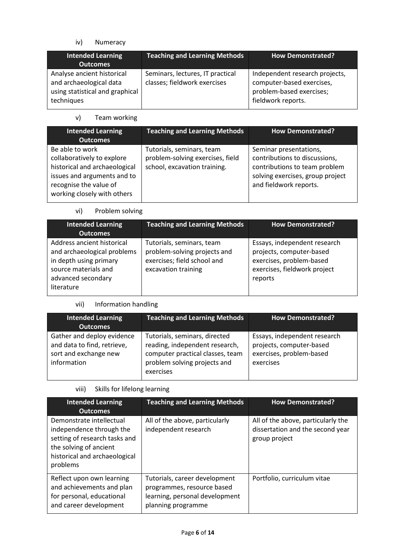iv) Numeracy

| <b>Intended Learning</b><br><b>Outcomes</b>                                                            | <b>Teaching and Learning Methods</b>                             | <b>How Demonstrated?</b>                                                                                      |
|--------------------------------------------------------------------------------------------------------|------------------------------------------------------------------|---------------------------------------------------------------------------------------------------------------|
| Analyse ancient historical<br>and archaeological data<br>using statistical and graphical<br>techniques | Seminars, lectures, IT practical<br>classes; fieldwork exercises | Independent research projects,<br>computer-based exercises,<br>problem-based exercises;<br>fieldwork reports. |

v) Team working

| <b>Intended Learning</b><br><b>Outcomes</b>                                                                                                                            | <b>Teaching and Learning Methods</b>                                                          | <b>How Demonstrated?</b>                                                                                                                               |
|------------------------------------------------------------------------------------------------------------------------------------------------------------------------|-----------------------------------------------------------------------------------------------|--------------------------------------------------------------------------------------------------------------------------------------------------------|
| Be able to work<br>collaboratively to explore<br>historical and archaeological<br>issues and arguments and to<br>recognise the value of<br>working closely with others | Tutorials, seminars, team<br>problem-solving exercises, field<br>school, excavation training. | Seminar presentations,<br>contributions to discussions,<br>contributions to team problem<br>solving exercises, group project<br>and fieldwork reports. |

### vi) Problem solving

| <b>Intended Learning</b><br><b>Outcomes</b>                                                                                                     | <b>Teaching and Learning Methods</b>                                                                            | <b>How Demonstrated?</b>                                                                                                        |
|-------------------------------------------------------------------------------------------------------------------------------------------------|-----------------------------------------------------------------------------------------------------------------|---------------------------------------------------------------------------------------------------------------------------------|
| Address ancient historical<br>and archaeological problems<br>in depth using primary<br>source materials and<br>advanced secondary<br>literature | Tutorials, seminars, team<br>problem-solving projects and<br>exercises; field school and<br>excavation training | Essays, independent research<br>projects, computer-based<br>exercises, problem-based<br>exercises, fieldwork project<br>reports |

# vii) Information handling

| Intended Learning<br><b>Outcomes</b>                                                              | <b>Teaching and Learning Methods</b>                                                                                                             | <b>How Demonstrated?</b>                                                                          |
|---------------------------------------------------------------------------------------------------|--------------------------------------------------------------------------------------------------------------------------------------------------|---------------------------------------------------------------------------------------------------|
| Gather and deploy evidence<br>and data to find, retrieve,<br>sort and exchange new<br>information | Tutorials, seminars, directed<br>reading, independent research,<br>computer practical classes, team<br>problem solving projects and<br>exercises | Essays, independent research<br>projects, computer-based<br>exercises, problem-based<br>exercises |

### viii) Skills for lifelong learning

| <b>Intended Learning</b><br><b>Outcomes</b>                                                                                                                  | <b>Teaching and Learning Methods</b>                                                                                | <b>How Demonstrated?</b>                                                                |
|--------------------------------------------------------------------------------------------------------------------------------------------------------------|---------------------------------------------------------------------------------------------------------------------|-----------------------------------------------------------------------------------------|
| Demonstrate intellectual<br>independence through the<br>setting of research tasks and<br>the solving of ancient<br>historical and archaeological<br>problems | All of the above, particularly<br>independent research                                                              | All of the above, particularly the<br>dissertation and the second year<br>group project |
| Reflect upon own learning<br>and achievements and plan<br>for personal, educational<br>and career development                                                | Tutorials, career development<br>programmes, resource based<br>learning, personal development<br>planning programme | Portfolio, curriculum vitae                                                             |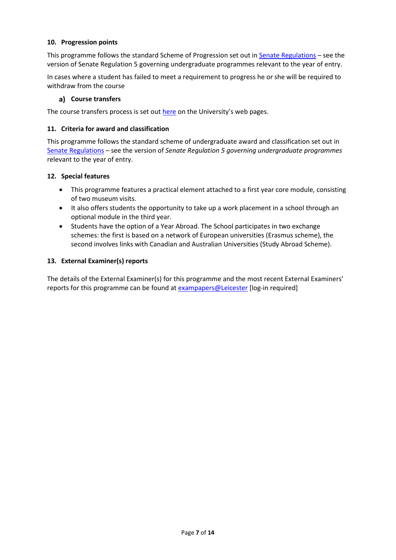#### **10. Progression points**

This programme follows the standard Scheme of Progression set out i[n Senate Regulations](http://www.le.ac.uk/senate-regulations) – see the version of Senate Regulation 5 governing undergraduate programmes relevant to the year of entry.

In cases where a student has failed to meet a requirement to progress he or she will be required to withdraw from the course

#### **Course transfers**

The course transfers process is set out [here](https://www2.le.ac.uk/offices/sas2/courses/transfercourse) on the University's web pages.

#### **11. Criteria for award and classification**

This programme follows the standard scheme of undergraduate award and classification set out in [Senate Regulations](http://www.le.ac.uk/senate-regulations) – see the version of *Senate Regulation 5 governing undergraduate programmes* relevant to the year of entry.

#### **12. Special features**

- This programme features a practical element attached to a first year core module, consisting of two museum visits.
- It also offers students the opportunity to take up a work placement in a school through an optional module in the third year.
- Students have the option of a Year Abroad. The School participates in two exchange schemes: the first is based on a network of European universities (Erasmus scheme), the second involves links with Canadian and Australian Universities (Study Abroad Scheme).

#### **13. External Examiner(s) reports**

The details of the External Examiner(s) for this programme and the most recent External Examiners' reports for this programme can be found at [exampapers@Leicester](https://exampapers.le.ac.uk/) [log-in required]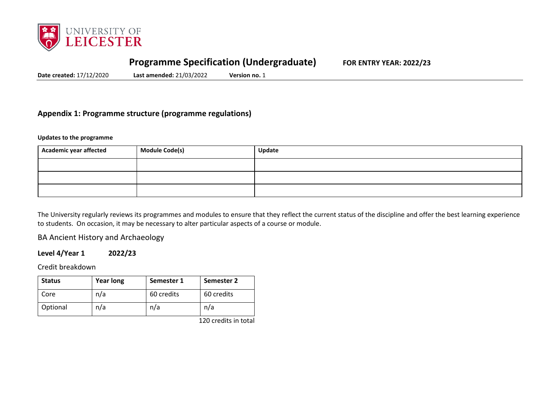

# **Programme Specification (Undergraduate) FOR ENTRY YEAR: 2022/23**

**Date created:** 17/12/2020 **Last amended:** 21/03/2022 **Version no.** 1

# **Appendix 1: Programme structure (programme regulations)**

**Updates to the programme**

| <b>Academic year affected</b> | <b>Module Code(s)</b> | Update |
|-------------------------------|-----------------------|--------|
|                               |                       |        |
|                               |                       |        |
|                               |                       |        |

The University regularly reviews its programmes and modules to ensure that they reflect the current status of the discipline and offer the best learning experience to students. On occasion, it may be necessary to alter particular aspects of a course or module.

BA Ancient History and Archaeology

### **Level 4/Year 1 2022/23**

Credit breakdown

| <b>Status</b> | <b>Year long</b> | Semester 1 | Semester 2 |
|---------------|------------------|------------|------------|
| Core          | n/a              | 60 credits | 60 credits |
| Optional      | n/a              | n/a        | n/a        |

120 credits in total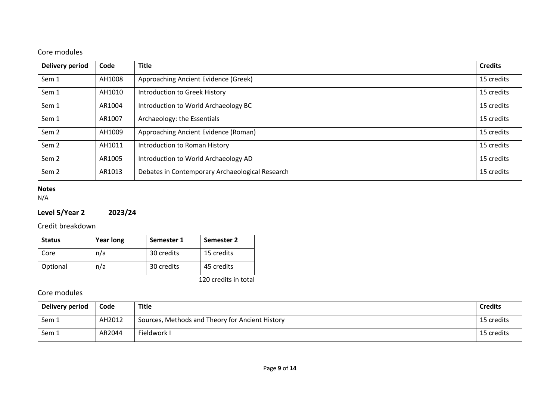# Core modules

| <b>Delivery period</b> | Code   | <b>Title</b>                                    | <b>Credits</b> |
|------------------------|--------|-------------------------------------------------|----------------|
| Sem 1                  | AH1008 | Approaching Ancient Evidence (Greek)            | 15 credits     |
| Sem 1                  | AH1010 | Introduction to Greek History                   | 15 credits     |
| Sem 1                  | AR1004 | Introduction to World Archaeology BC            | 15 credits     |
| Sem 1                  | AR1007 | Archaeology: the Essentials                     | 15 credits     |
| Sem <sub>2</sub>       | AH1009 | Approaching Ancient Evidence (Roman)            | 15 credits     |
| Sem <sub>2</sub>       | AH1011 | Introduction to Roman History                   | 15 credits     |
| Sem <sub>2</sub>       | AR1005 | Introduction to World Archaeology AD            | 15 credits     |
| Sem <sub>2</sub>       | AR1013 | Debates in Contemporary Archaeological Research | 15 credits     |

### **Notes**

N/A

# **Level 5/Year 2 2023/24**

## Credit breakdown

| <b>Status</b> | <b>Year long</b> | Semester 1 | Semester 2 |
|---------------|------------------|------------|------------|
| Core          | n/a              | 30 credits | 15 credits |
| Optional      | n/a              | 30 credits | 45 credits |

120 credits in total

# Core modules

| Delivery period | Code   | Title                                           | <b>Credits</b> |
|-----------------|--------|-------------------------------------------------|----------------|
| Sem 1           | AH2012 | Sources, Methods and Theory for Ancient History | 15 credits     |
| Sem 1           | AR2044 | Fieldwork I                                     | 15 credits     |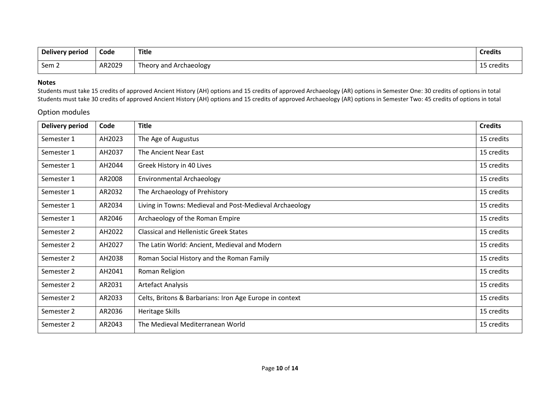| Delivery period | Code   | <b>Title</b>           | <b>Credits</b> |
|-----------------|--------|------------------------|----------------|
| Sem 2           | AR2029 | Theory and Archaeology | 15 credits     |

#### **Notes**

Students must take 15 credits of approved Ancient History (AH) options and 15 credits of approved Archaeology (AR) options in Semester One: 30 credits of options in total Students must take 30 credits of approved Ancient History (AH) options and 15 credits of approved Archaeology (AR) options in Semester Two: 45 credits of options in total

#### Option modules

| <b>Delivery period</b> | Code   | <b>Title</b>                                            | <b>Credits</b> |
|------------------------|--------|---------------------------------------------------------|----------------|
| Semester 1             | AH2023 | The Age of Augustus                                     | 15 credits     |
| Semester 1             | AH2037 | The Ancient Near East                                   | 15 credits     |
| Semester 1             | AH2044 | Greek History in 40 Lives                               | 15 credits     |
| Semester 1             | AR2008 | <b>Environmental Archaeology</b>                        | 15 credits     |
| Semester 1             | AR2032 | The Archaeology of Prehistory                           | 15 credits     |
| Semester 1             | AR2034 | Living in Towns: Medieval and Post-Medieval Archaeology | 15 credits     |
| Semester 1             | AR2046 | Archaeology of the Roman Empire                         | 15 credits     |
| Semester 2             | AH2022 | <b>Classical and Hellenistic Greek States</b>           | 15 credits     |
| Semester 2             | AH2027 | The Latin World: Ancient, Medieval and Modern           | 15 credits     |
| Semester 2             | AH2038 | Roman Social History and the Roman Family               | 15 credits     |
| Semester 2             | AH2041 | Roman Religion                                          | 15 credits     |
| Semester 2             | AR2031 | <b>Artefact Analysis</b>                                | 15 credits     |
| Semester 2             | AR2033 | Celts, Britons & Barbarians: Iron Age Europe in context | 15 credits     |
| Semester 2             | AR2036 | <b>Heritage Skills</b>                                  | 15 credits     |
| Semester 2             | AR2043 | The Medieval Mediterranean World                        | 15 credits     |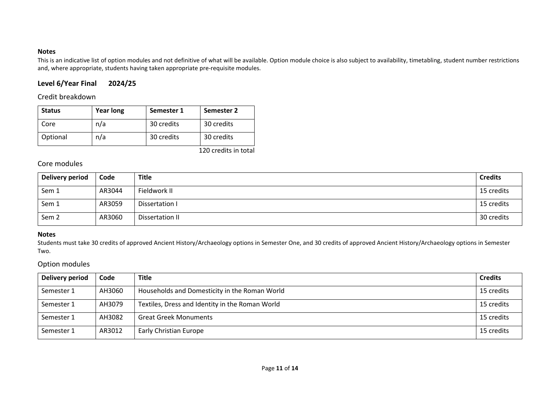### **Notes**

This is an indicative list of option modules and not definitive of what will be available. Option module choice is also subject to availability, timetabling, student number restrictions and, where appropriate, students having taken appropriate pre-requisite modules.

# **Level 6/Year Final 2024/25**

### Credit breakdown

| <b>Status</b> | <b>Year long</b> | Semester 1 | Semester 2 |
|---------------|------------------|------------|------------|
| Core          | n/a              | 30 credits | 30 credits |
| Optional      | n/a              | 30 credits | 30 credits |

120 credits in total

## Core modules

| Delivery period  | Code   | <b>Title</b>    | <b>Credits</b> |
|------------------|--------|-----------------|----------------|
| Sem 1            | AR3044 | Fieldwork II    | 15 credits     |
| Sem 1            | AR3059 | Dissertation I  | 15 credits     |
| Sem <sub>2</sub> | AR3060 | Dissertation II | 30 credits     |

#### **Notes**

Students must take 30 credits of approved Ancient History/Archaeology options in Semester One, and 30 credits of approved Ancient History/Archaeology options in Semester Two.

### Option modules

| Delivery period | Code   | <b>Title</b>                                    | <b>Credits</b> |
|-----------------|--------|-------------------------------------------------|----------------|
| Semester 1      | AH3060 | Households and Domesticity in the Roman World   | 15 credits     |
| Semester 1      | AH3079 | Textiles, Dress and Identity in the Roman World | 15 credits     |
| Semester 1      | AH3082 | <b>Great Greek Monuments</b>                    | 15 credits     |
| Semester 1      | AR3012 | <b>Early Christian Europe</b>                   | 15 credits     |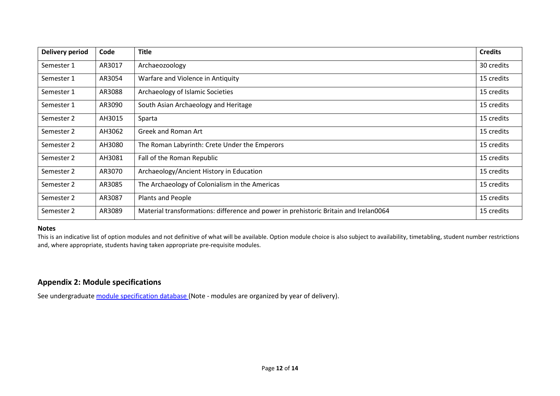| <b>Delivery period</b> | Code   | <b>Title</b>                                                                         | <b>Credits</b> |
|------------------------|--------|--------------------------------------------------------------------------------------|----------------|
| Semester 1             | AR3017 | Archaeozoology                                                                       | 30 credits     |
| Semester 1             | AR3054 | Warfare and Violence in Antiquity                                                    | 15 credits     |
| Semester 1             | AR3088 | Archaeology of Islamic Societies                                                     | 15 credits     |
| Semester 1             | AR3090 | South Asian Archaeology and Heritage                                                 | 15 credits     |
| Semester 2             | AH3015 | Sparta                                                                               | 15 credits     |
| Semester 2             | AH3062 | Greek and Roman Art                                                                  | 15 credits     |
| Semester 2             | AH3080 | The Roman Labyrinth: Crete Under the Emperors                                        | 15 credits     |
| Semester 2             | AH3081 | Fall of the Roman Republic                                                           | 15 credits     |
| Semester 2             | AR3070 | Archaeology/Ancient History in Education                                             | 15 credits     |
| Semester 2             | AR3085 | The Archaeology of Colonialism in the Americas                                       | 15 credits     |
| Semester 2             | AR3087 | Plants and People                                                                    | 15 credits     |
| Semester 2             | AR3089 | Material transformations: difference and power in prehistoric Britain and Irelan0064 | 15 credits     |

#### **Notes**

This is an indicative list of option modules and not definitive of what will be available. Option module choice is also subject to availability, timetabling, student number restrictions and, where appropriate, students having taken appropriate pre-requisite modules.

# **Appendix 2: Module specifications**

See undergraduat[e module specification database](http://www.le.ac.uk/sas/courses/documentation) (Note - modules are organized by year of delivery).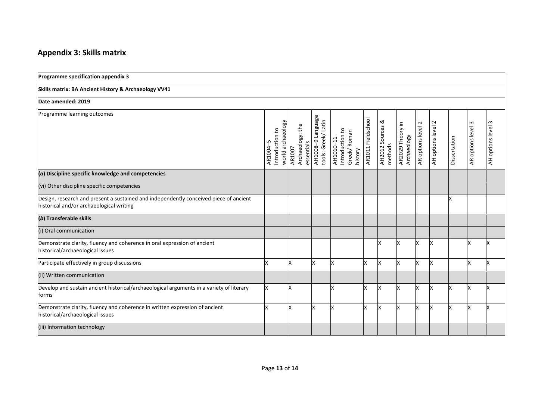# **Appendix 3: Skills matrix**

| Programme specification appendix 3                                                                                                |                                                 |                                          |                                          |                                                        |                    |                             |                                 |                            |                            |              |                       |                                  |
|-----------------------------------------------------------------------------------------------------------------------------------|-------------------------------------------------|------------------------------------------|------------------------------------------|--------------------------------------------------------|--------------------|-----------------------------|---------------------------------|----------------------------|----------------------------|--------------|-----------------------|----------------------------------|
| Skills matrix: BA Ancient History & Archaeology VV41                                                                              |                                                 |                                          |                                          |                                                        |                    |                             |                                 |                            |                            |              |                       |                                  |
| Date amended: 2019                                                                                                                |                                                 |                                          |                                          |                                                        |                    |                             |                                 |                            |                            |              |                       |                                  |
| Programme learning outcomes                                                                                                       | world archaeology<br>Introduction to<br>AR1004- | Archaeology: the<br>essentials<br>AR1007 | AH1008-9 Language<br>tools: Greek/ Latin | Introduction to<br>Greek/Roman<br>AH1010-11<br>history | AR1011 Fieldschool | AH2012 Sources &<br>methods | AR2029 Theory in<br>Archaeology | $\sim$<br>AR options level | $\sim$<br>AH options level | Dissertation | S<br>AR options level | $\mathsf{c}$<br>AH options level |
| (a) Discipline specific knowledge and competencies                                                                                |                                                 |                                          |                                          |                                                        |                    |                             |                                 |                            |                            |              |                       |                                  |
| (vi) Other discipline specific competencies                                                                                       |                                                 |                                          |                                          |                                                        |                    |                             |                                 |                            |                            |              |                       |                                  |
| Design, research and present a sustained and independently conceived piece of ancient<br>historical and/or archaeological writing |                                                 |                                          |                                          |                                                        |                    |                             |                                 |                            |                            | X            |                       |                                  |
| (b) Transferable skills                                                                                                           |                                                 |                                          |                                          |                                                        |                    |                             |                                 |                            |                            |              |                       |                                  |
| (i) Oral communication                                                                                                            |                                                 |                                          |                                          |                                                        |                    |                             |                                 |                            |                            |              |                       |                                  |
| Demonstrate clarity, fluency and coherence in oral expression of ancient<br>historical/archaeological issues                      |                                                 |                                          |                                          |                                                        |                    | x                           |                                 | X                          | x                          |              | x                     | x                                |
| Participate effectively in group discussions                                                                                      | x                                               | x                                        | X                                        | x                                                      | X                  | x                           | X                               | x                          | x                          |              | x                     | x                                |
| (ii) Written communication                                                                                                        |                                                 |                                          |                                          |                                                        |                    |                             |                                 |                            |                            |              |                       |                                  |
| Develop and sustain ancient historical/archaeological arguments in a variety of literary<br>forms                                 | x                                               | Χ                                        |                                          | x                                                      | X                  | X                           | x                               | X                          | x                          | X            | x                     | x                                |
| Demonstrate clarity, fluency and coherence in written expression of ancient<br>historical/archaeological issues                   | x                                               | Χ                                        | x                                        | x                                                      | X                  | Ιx                          | x                               | X                          | X                          | x            | X                     | x                                |
| (iii) Information technology                                                                                                      |                                                 |                                          |                                          |                                                        |                    |                             |                                 |                            |                            |              |                       |                                  |